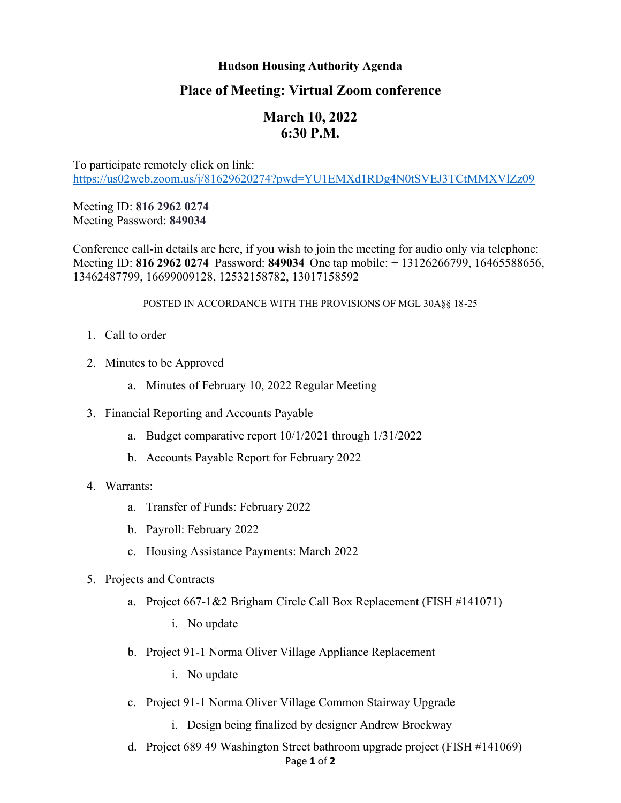## **Hudson Housing Authority Agenda**

## **Place of Meeting: Virtual Zoom conference**

# **March 10, 2022 6:30 P.M.**

To participate remotely click on link: <https://us02web.zoom.us/j/81629620274?pwd=YU1EMXd1RDg4N0tSVEJ3TCtMMXVlZz09>

Meeting ID: **816 2962 0274** Meeting Password: **849034**

Conference call-in details are here, if you wish to join the meeting for audio only via telephone: Meeting ID: **816 2962 0274** Password: **849034** One tap mobile: + 13126266799, 16465588656, 13462487799, 16699009128, 12532158782, 13017158592

#### POSTED IN ACCORDANCE WITH THE PROVISIONS OF MGL 30A§§ 18-25

- 1. Call to order
- 2. Minutes to be Approved
	- a. Minutes of February 10, 2022 Regular Meeting
- 3. Financial Reporting and Accounts Payable
	- a. Budget comparative report 10/1/2021 through 1/31/2022
	- b. Accounts Payable Report for February 2022

### 4. Warrants:

- a. Transfer of Funds: February 2022
- b. Payroll: February 2022
- c. Housing Assistance Payments: March 2022
- 5. Projects and Contracts
	- a. Project 667-1&2 Brigham Circle Call Box Replacement (FISH #141071)
		- i. No update
	- b. Project 91-1 Norma Oliver Village Appliance Replacement
		- i. No update
	- c. Project 91-1 Norma Oliver Village Common Stairway Upgrade
		- i. Design being finalized by designer Andrew Brockway
	- Page **1** of **2** d. Project 689 49 Washington Street bathroom upgrade project (FISH #141069)